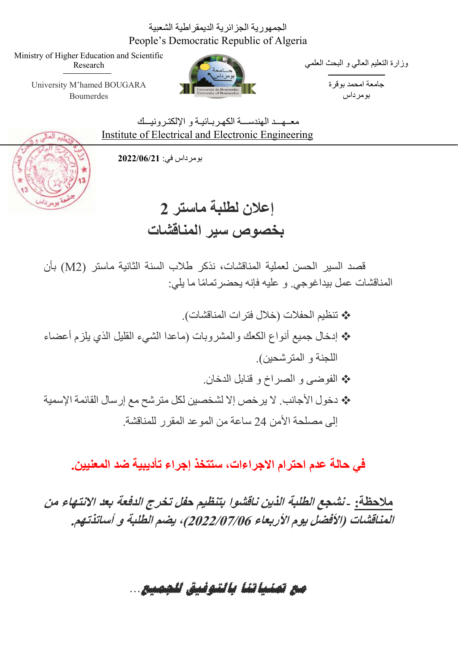### الجمهورية الجزائرية الديمقراطية الشعبية People's Democratic Republic of Algeria

Ministry of Higher Education and Scientific Research

> University M'hamed BOUGARA Boumerdes



وزارة التعليم العالي و البحث العلمي

جامعة امحمد بوقرة بومرداس

معــهــد الـهندســـة الكهـر بــائيــة و الإلكتـر و نيـــك Institute of Electrical and Electronic Engineering

بومرداس في: 2022/06/21



 إعلان لطلبة ماستر 2 بخصوص سير المناقشات

قصد السير الحسن لعملية المناقشات، نذكر طلاب السنة الثانية ماستر (2M (بأن المناقشات عمل بيداغوجي. و عليه فإنه يحضر تمامًا ما يلي:

 تنظيم الحفلات ( خلال فترات المناقشات). إدخال جميع أنواع الكعك والمشروبات (ماعدا الشيء القليل الذي يلزم أعضاء اللجنة و المترشحين) . الفوضى و الصراخ و قنابل الدخان. دخول الأجانب . لا يرخص إلا لشخصين لكل مترشح مع إرسال القائمة الإسمية إلى مصلحة الأمن 24 ساعة من الموعد المقرر للمناقشة.

في حالة عدم احترام الاجراءات، ستتخذ إجراء تأديبية ضد المعنيين.

ملاحظة: - نشجع الطلبة الذين ناقشوا بتنظيم حفل تخرج الدفعة بعد الانتهاء من المناقشات (الأفضل يوم الأربعاء 2022/07/06)، يضم الطلبة <sup>و</sup> أساتذتهم.

مع تمنياتنا بالتوفيق للجمي ع.. .